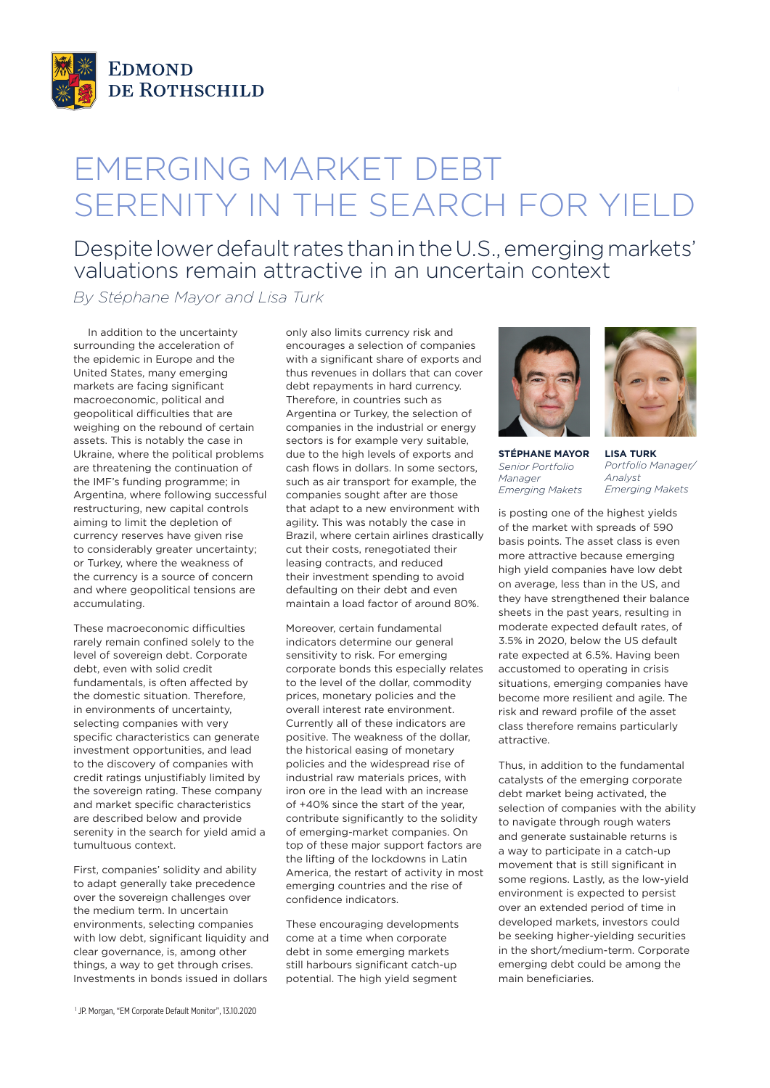

## EMERGING MARKET DEBT SERENITY IN THE SEARCH FOR YIELD

## Despite lower default rates than in the U.S., emerging markets' valuations remain attractive in an uncertain context

*By Stéphane Mayor and Lisa Turk*

In addition to the uncertainty surrounding the acceleration of the epidemic in Europe and the United States, many emerging markets are facing significant macroeconomic, political and geopolitical difficulties that are weighing on the rebound of certain assets. This is notably the case in Ukraine, where the political problems are threatening the continuation of the IMF's funding programme; in Argentina, where following successful restructuring, new capital controls aiming to limit the depletion of currency reserves have given rise to considerably greater uncertainty; or Turkey, where the weakness of the currency is a source of concern and where geopolitical tensions are accumulating.

These macroeconomic difficulties rarely remain confined solely to the level of sovereign debt. Corporate debt, even with solid credit fundamentals, is often affected by the domestic situation. Therefore, in environments of uncertainty, selecting companies with very specific characteristics can generate investment opportunities, and lead to the discovery of companies with credit ratings unjustifiably limited by the sovereign rating. These company and market specific characteristics are described below and provide serenity in the search for yield amid a tumultuous context.

First, companies' solidity and ability to adapt generally take precedence over the sovereign challenges over the medium term. In uncertain environments, selecting companies with low debt, significant liquidity and clear governance, is, among other things, a way to get through crises. Investments in bonds issued in dollars

only also limits currency risk and encourages a selection of companies with a significant share of exports and thus revenues in dollars that can cover debt repayments in hard currency. Therefore, in countries such as Argentina or Turkey, the selection of companies in the industrial or energy sectors is for example very suitable, due to the high levels of exports and cash flows in dollars. In some sectors, such as air transport for example, the companies sought after are those that adapt to a new environment with agility. This was notably the case in Brazil, where certain airlines drastically cut their costs, renegotiated their leasing contracts, and reduced their investment spending to avoid defaulting on their debt and even maintain a load factor of around 80%.

Moreover, certain fundamental indicators determine our general sensitivity to risk. For emerging corporate bonds this especially relates to the level of the dollar, commodity prices, monetary policies and the overall interest rate environment. Currently all of these indicators are positive. The weakness of the dollar, the historical easing of monetary policies and the widespread rise of industrial raw materials prices, with iron ore in the lead with an increase of +40% since the start of the year, contribute significantly to the solidity of emerging-market companies. On top of these major support factors are the lifting of the lockdowns in Latin America, the restart of activity in most emerging countries and the rise of confidence indicators.

These encouraging developments come at a time when corporate debt in some emerging markets still harbours significant catch-up potential. The high yield segment





**STÉPHANE MAYOR** *Senior Portfolio Manager Emerging Makets*

**LISA TURK** *Portfolio Manager/ Analyst Emerging Makets*

is posting one of the highest yields of the market with spreads of 590 basis points. The asset class is even more attractive because emerging high yield companies have low debt on average, less than in the US, and they have strengthened their balance sheets in the past years, resulting in moderate expected default rates, of 3.5% in 2020, below the US default rate expected at 6.5%. Having been accustomed to operating in crisis situations, emerging companies have become more resilient and agile. The risk and reward profile of the asset class therefore remains particularly attractive.

Thus, in addition to the fundamental catalysts of the emerging corporate debt market being activated, the selection of companies with the ability to navigate through rough waters and generate sustainable returns is a way to participate in a catch-up movement that is still significant in some regions. Lastly, as the low-yield environment is expected to persist over an extended period of time in developed markets, investors could be seeking higher-yielding securities in the short/medium-term. Corporate emerging debt could be among the main beneficiaries.